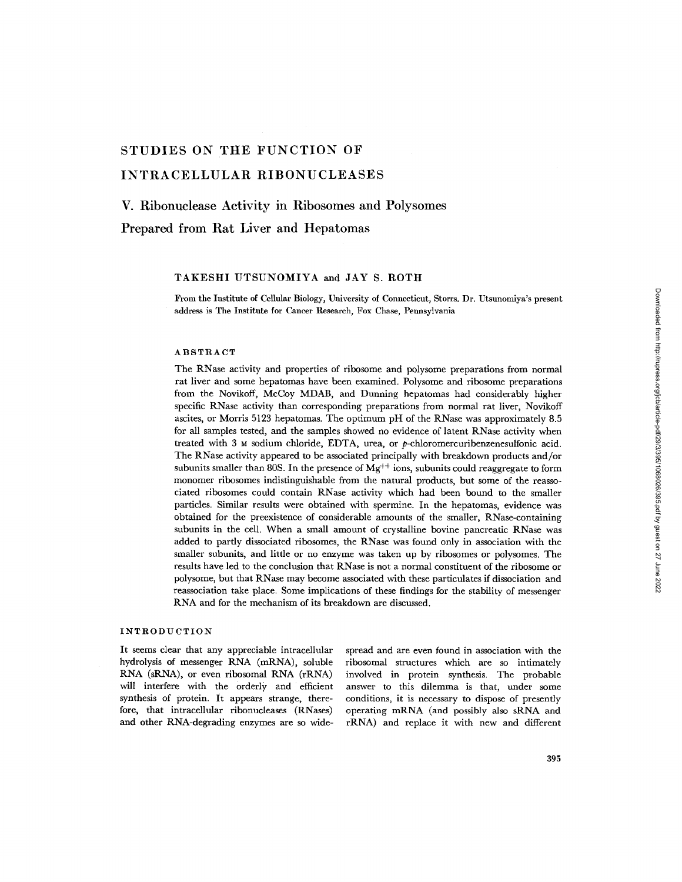# Downloaded from http://rupress.org/cb/article-pdf/29/3/395/1068026/395.pdf by guest on 27 June 2022 Downloaded from http://rupress.org/jcb/article-pdf/29/3/395/1068026/395.pdf by guest on 27 June 2022

# **STUDIES ON THE FUNCTION OF INTRACELLULAR RIBONUCLEASES**

**V. Ribonuclease Activity in Ribosomes and Polysomes** 

**Prepared from Rat Liver and Hepatomas** 

# TAKESHI UTSUNOMIYA and JAY S. ROTH

From the Institute of Cellular Biology, University of Connecticut, Storrs. Dr. Utsunomiya's present address is The Institute for Cancer Research, Fox Chase, Pennsylvania

### ABSTRACT

The RNase activity and properties of ribosome and polysomc preparations from normal rat liver and some hepatomas havc been examined. Polysomc and ribosome preparations from the Novikoff, McCoy MDAB, and Dunning hcpatomas had considerably higher specific RNase activity than corresponding preparations from normal rat liver, Novikoff ascites, or Morris 5123 hcpatomas. The optimum pH of the RNasc was approximately 8.5 for all samples tested, and the samples showed no evidence of latent RNase activity when treated with  $3$  M sodium chloride, EDTA, urea, or  $p$ -chloromercuribenzenesulfonic acid. The RNase activity appeared to be associated principally with breakdown products and/or subunits smaller than 80S. In the presence of  $Mg^{++}$  ions, subunits could reaggregate to form monomer ribosomes indistinguishable from the natural products, but some of the reassociated ribosomes could contain RNase activity which had been bound to the smaller particles. Similar results were obtained with sperminc. In the hcpatomas, evidence was obtained for thc prccxistcncc of considerable amounts of the smaller, RNase-containing subunits in the ccll. When a small amount of crystalline bovine pancreatic RNase was added to partly dissociated ribosomes, the RNase was found only in association with the smaller subunits, and little or no enzyme was takcn up by ribosomes or polysomes. The results have led to the conclusion that RNase is not a normal constituent of the ribosome or polysome, but that RNase may becomc associated with these particulates if dissociation and reassociation take place. Some implications of these findings for the stability of messenger RNA and for the mechanism of its breakdown arc discussed.

## INTRODUCTION

It seems clear that any appreciable intracellular hydrolysis of messenger RNA (mRNA), soluble RNA (sRNA), or even ribosomal RNA (rRNA) will interfere with the orderly and efficient synthesis of protein. It appears strange, therefore, that intracellular ribonucleases (RNases) and other RNA-degrading enzymes are so widespread and are even found in association with the ribosomal structures which are so intimately involved in protein synthesis. The probable answer to this dilemma is that, under some conditions, it is necessary to dispose of presently operating mRNA (and possibly also sRNA and rRNA) and replace it with new and different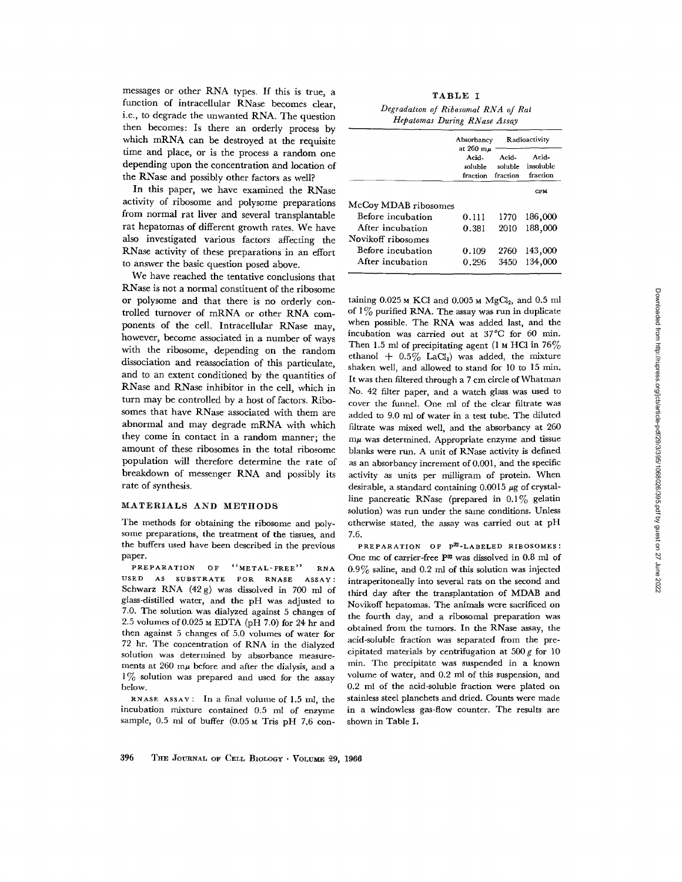messages or other RNA types. If this is true, a function of intracellular RNase becomes clear. i.e., to degrade the unwanted RNA. The question then becomes: Is there an orderly process by which mRNA can be destroyed at the requisite time and place, or is the process a random one depending upon the concentration and location of the RNase and possibly other factors as well?

In this paper, we have examined the RNase activity of ribosome and polysome preparations from normal rat liver and several transplantable rat hepatomas of different growth rates. We have also investigated various factors affecting the RNase activity of these preparations in an effort to answer the basic question posed above.

We have reached the tentative conclusions that RNase is not a normal constituent of the ribosome or polysome and that there is no orderly controlled turnover of mRNA or other RNA components of the cell. Intracellular RNase may, however, become associated in a number of ways with the ribosome, depending on the random dissociation and reassociation of this particulate, and to an extent conditioned by the quantities of RNase and RNase inhibitor in the cell, which in turn may be controlled by a host of factors. Ribosomes that have RNase associated with them are abnormal and may degrade mRNA with which they come in contact in a random manner; the amount of these ribosomes in the total ribosome population will therefore determine the rate of breakdown of messenger RNA and possibly its rate of synthesis.

### MATERIALS AND METHODS

The methods for obtaining the ribosome and polysome preparations, the treatment of the tissues, and the buffers used have been described in the previous paper.

PREPARATION OF "METAL-FREE" RNA USED AS SUBSTRATE FOR RNASE ASSAY : Schwarz RNA (42 g) was dissolved in 700 mi of glass-distilled water, and the pH was adjusted to 7.0. The solution, was dialyzed against 5 changes of 2.5 volumes of 0.025  $\text{M}$  EDTA (pH 7.0) for 24 hr and then against 5 changes of 5.0 volumes of water for *72* hr. The concentration of RNA in the dialyzed solution was determined by absorbance measurements at  $260 \text{ m}\mu$  before and after the dialysis, and a  $1\%$  solution was prepared and used for the assay below.

RNASE ASSAY : In a final volume of 1.5 ml, the incubation mixture contained 0.5 ml of enzyme sample,  $0.5$  ml of buffer  $(0.05 \text{ m Tris pH } 7.6 \text{ con}$ -

### TABLE **I**

*Degradation of Ribosomal RNA of Rat Hepatomas During RNase Assay* 

|                      | Absorbancy<br>at 260 mu<br>Acid-<br>soluble<br>fraction | Radioactivity                |                                |
|----------------------|---------------------------------------------------------|------------------------------|--------------------------------|
|                      |                                                         | Acid-<br>soluble<br>fraction | Acid-<br>insoluble<br>fraction |
|                      |                                                         |                              | <b>CPM</b>                     |
| McCoy MDAB ribosomes |                                                         |                              |                                |
| Before incubation    | 0.111                                                   | 1770                         | 186,000                        |
| After incubation     | 0.381                                                   | 2010                         | 188,000                        |
| Novikoff ribosomes   |                                                         |                              |                                |
| Before incubation    | 0.109                                                   | 2760                         | 143,000                        |
| After incubation     | 0.296                                                   | 3450                         | 134,000                        |

taining  $0.025$  M KCl and  $0.005$  M MgCl<sub>2</sub>, and  $0.5$  ml of  $1\%$  purified RNA. The assay was run in duplicate when possible. The RNA was added last, and the incubation was carried out at *37°C* for 60 min. Then 1.5 ml of precipitating agent (1  $\times$  HCl in 76% ethanol +  $0.5\%$  LaCl<sub>3</sub>) was added, the mixture shaken well, and allowed to stand for 10 to 15 min. It was then filtered through a 7 cm circle of Whatman No. 42 filter paper, and a watch glass was used to cover the funnel. One ml of the clear filtrate was added to 9.0 ml of water in a test tube. The diluted filtrate was mixed well, and the absorbancy at 260  $m\mu$  was determined. Appropriate enzyme and tissue blanks were run. A unit of RNase activity is defined as an absorbancy increment of 0.001, and the specific activity as units per milligram of protein. When desirable, a standard containing  $0.0015 \mu g$  of crystalline pancreatic RNase (prepared in  $0.1\%$  gelatin solution) was run under the same conditions. Unless Gtherwise stated, the assay was carried out at pH 7.6.

PREPARATION OF  $P^{32}$ -LABELED RIBOSOMES: One mc of carrier-free P<sup>22</sup> was dissolved in 0.8 ml of 0.9% saline, and 0.2 ml of this solution was injected intraperitoneally into several rats on the second and third day after the transplantation of MDAB and Novikoff hepatomas. The animals were sacrificed on the fourth day, and a ribosomal preparation was obtained from the tumors. In the RNase assay, the acid-soluble fraction was separated from the precipitated materials by centrifugation at 500  $g$  for 10 min. The precipitate was suspended in a known volume of water, and 0.9 ml of this suspension, and 0.2 ml of the acid-soluble fraction were plated on stainless steel planchets and dried. Counts were made in a windowless gas-flow counter. The results are shown in Table I.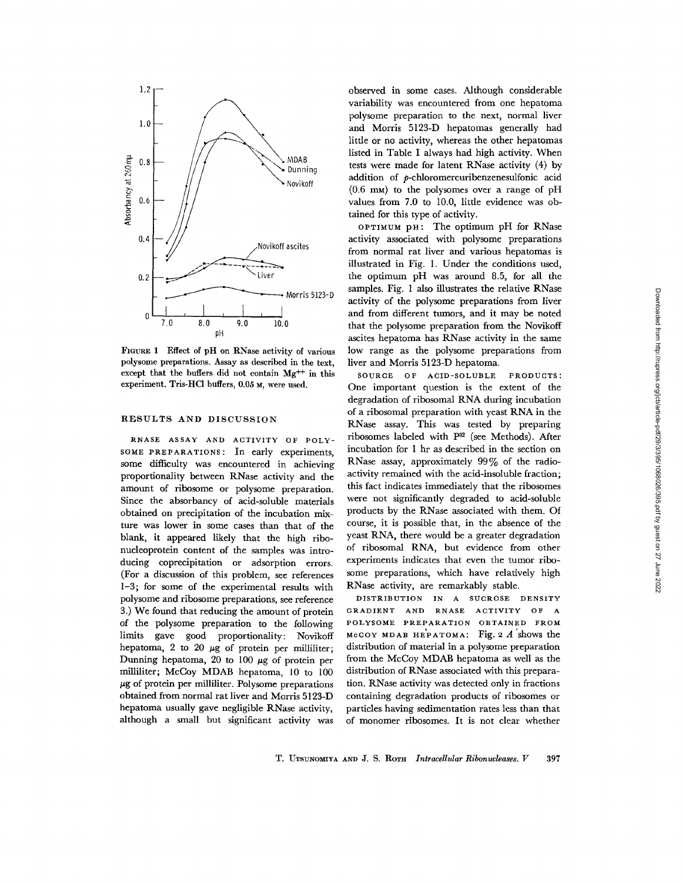

FIOURE 1 Effect of pH on RNase activity of various polysome preparations. Assay as described in the text, except that the buffers did not contain  $Mg^{++}$  in this experiment. Tris-HCl buffers, 0.05 M, were used.

### RESULTS AND DISCUSSION

RNASE ASSAY AND ACTIVITY OF POLY-SOME PREPARATIONS: In early experiments, some difficulty was encountered in achieving proportionality between RNase activity and the amount of ribosome or polysome preparation. Since the absorbancy of acid-soluble materials obtained on precipitation of the incubation mixture was lower in some cases than that of the blank, it appeared likely that the high ribonucleoprotein content of the samples was introducing coprecipitation or adsorption errors. (For a discussion of this problem, see references 1-3; for some of the experimental results with polysome and ribosome preparations, see reference 3.) We found that reducing the amount of protein of the polysome preparation to the following limits gave good proportionality: Novikoff hepatoma, 2 to 20  $\mu$ g of protein per milliliter; Dunning hepatoma, 20 to 100  $\mu$ g of protein per milliliter; McCoy MDAB hepatoma, 10 to 100  $\mu$ g of protein per milliliter. Polysome preparations obtained from normal rat liver and Morris 5123-D hepatoma usually gave negligible RNase activity, although a small but significant activity was observed in some cases. Although considerable variability was encountered from one hepatoma polysome preparation to the next, normal liver and Morris 5123-D hepatomas generally had little or no activity, whereas the other hepatomas listed in Table I always had high activity. When tests were made for latent RNase activity (4) by addition of p-chloromercuribenzenesulfonic acid  $(0.6 \text{ mm})$  to the polysomes over a range of pH values from 7.0 to 10.0, little evidence was obtained for this type of activity.

OPTIMUM pH: The optimum pH for RNase activity associated with polysome preparations from normal rat liver and various hepatomas is illustrated in Fig. 1. Under the conditions used, the optimum pH was around 8.5, for all the samples. Fig. 1 also illustrates the relative RNase activity of the polysome preparations from liver and from different tumors, and it may be noted that the polysome preparation from the Novikoff ascites hepatoma has RNase activity in the same low range as the polysome preparations from liver and Morris 5123-D hepatoma.

SOURCE OF ACID-SOLUBLE PRODUCTS : One important question is the extent of the degradation of ribosomal RNA during incubation of a ribosomal preparation with yeast RNA in the RNase assay. This was tested by preparing ribosomes labeled with p32 (see Methods). After incubation for 1 hr as described in the section on RNase assay, approximately 99% of the radioactivity remained with the acid-insoluble fraction; this fact indicates immediately that the ribosomes were not significantly degraded to acid-soluble products by the RNase associated with them. Of course, it is possible that, in the absence of the yeast RNA, there would be a greater degradation of ribosomal RNA, but evidence from other experiments indicates that even the tumor ribosome preparations, which have relatively high RNase activity, are remarkably stable.

DISTRIBUTION IN A SUCROSE DENSITY GRADIENT AND RNASE ACTIVITY OF A POLYSOME PREPARATION OBTAINED FROM MCCOY MDAB HEPATOMA: Fig. 2  $\Lambda$  shows the distribution of material in a polysome preparation from the McCoy MDAB hepatoma as well as the distribution of RNase associated with this preparation. RNase activity was detected only in fractions containing degradation products of ribosomes or particles having sedimentation rates less than that of monomer ribosomes. It is not clear whether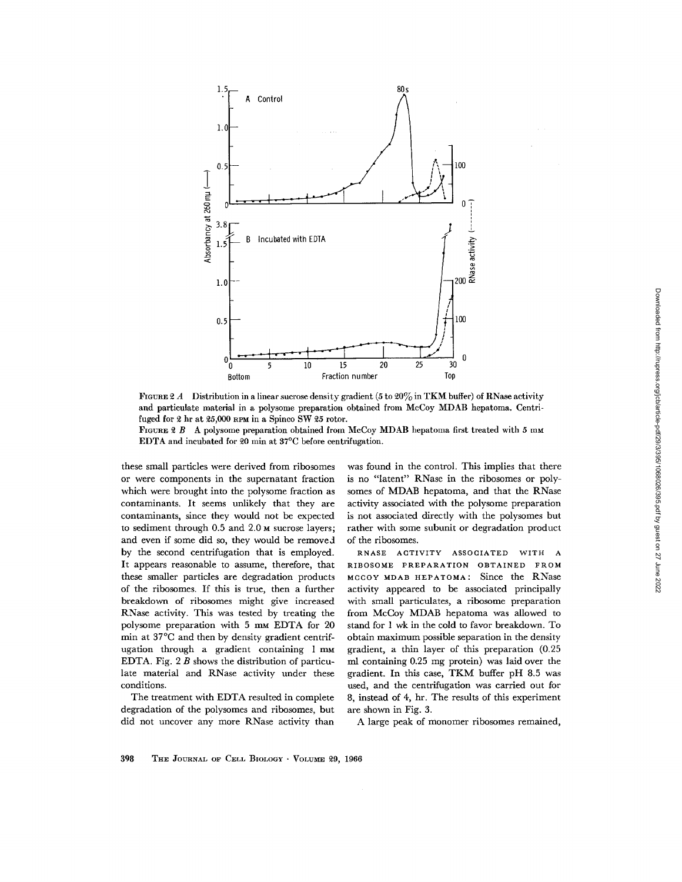



FIGURE 2 B A polysome preparation obtained from McCoy MDAB hepatoma first treated with 5 mm EDTA and incubated for 20 min at 37°C before centrifugation.

these small particles were derived from ribosomes or were components in the supernatant fraction which were brought into the polysome fraction as contaminants. It seems unlikely that they are contaminants, since they would not be expected to sediment through 0.5 and 2.0 M sucrose layers; and even if some did so, they would be removed by the second centrifugation that is employed. It appears reasonable to assume, therefore, that these smaller particles are degradation products of the ribosomes. If this is true, then a further breakdown of ribosomes might give increased RNase activity. This was tested by treating the polysome preparation with 5 mm EDTA for 20 min at 37°C and then by density gradient centrifugation through a gradient containing 1 mm EDTA. Fig.  $2 B$  shows the distribution of particulate material and RNase activity under these conditions.

The treatment with EDTA resulted in complete degradation of the polysomes and ribosomes, but did not uncover any more RNase activity than

was found in the control. This implies that there is no "latent" RNase in the ribosomes or polysomes of MDAB hepatoma, and that the RNase activity associated with the polysome preparation is not associated directly with the polysomes but rather with some subunit or degradation product of the ribosomes.

RNASE ACTIVITY ASSOCIATED WITH A RIBOSOME PREPARATION OBTAINED FROM MCCOY MDAB HEPATOMA: Since the RNase activity appeared to be associated principally with small particulates, a ribosome preparation from McCoy MDAB hepatoma was allowed to stand for 1 wk in the cold to favor breakdown. To obtain maximum possible separation in the density gradient, a thin layer of this preparation (0.95 ml containing 0.25 mg protein) was laid over the gradient. In this case, TKM buffer pH 8.5 was used, and the centrifugation was carried out for 8, instead of 4, hr. The results of this experiment are shown in Fig. 3.

A large peak of monomer ribosomes remained,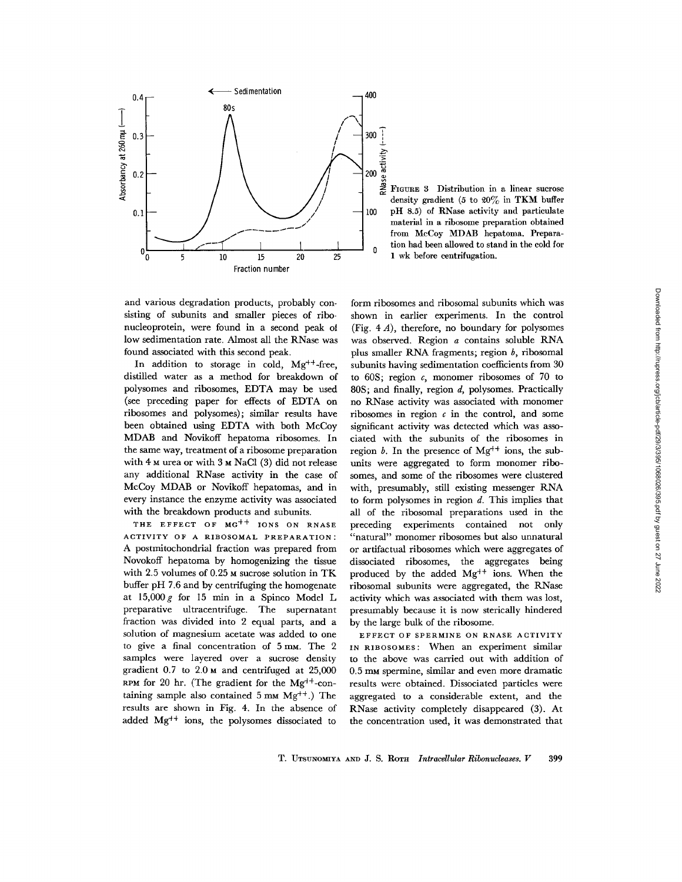

FIGURE 3 Distribution in a linear sucrose density gradient (5 to  $20\%$  in TKM buffer 100 pH 8.5) of RNase activity and particulate material in a ribosome preparation obtained from McCoy MDAB hepatoma. Preparation had been allowed to stand in the cold for 0<sup>tion nad been anowed to sta</sup>

and various degradation products, probably consisting of subunits and smaller pieces of ribonucleoprotein, were found in a second peak ot low sedimentation rate. Almost all the RNase was found associated with this second peak.

In addition to storage in cold,  $Mg^{++}$ -free, distilled water as a method for breakdown of polysomes and ribosomes, EDTA may be used (see preceding paper for effects of EDTA on ribosomes and polysomes); similar results have been obtained using EDTA with both McCoy MDAB and Novikoff hepatoma ribosomes. In the same way, treatment of a ribosome preparation with  $4 \text{ m}$  urea or with  $3 \text{ m}$  NaCl  $(3)$  did not release any additional RNase activity in the case of McCoy MDAB or Novikoff hepatomas, and in every instance the enzyme activity was associated with the breakdown products and subunits.

THE EFFECT OF  $MG^{++}$  IONS ON RNASE ACTIVITY OF A RIBOSOMAL PREPARATION : A postmitochondrial fraction was prepared from Novokoff hepatoma by homogenizing the tissue with 2.5 volumes of 0.25 M sucrose solution in TK buffer pH 7.6 and by centrifuging the homogenate at  $15,000 \, \text{g}$  for 15 min in a Spinco Model L preparative ultracentrifuge. The supernatant fraction was divided into 2 equal parts, and a solution of magnesium acetate was added to one to give a final concentration of 5 mM. The 2 samples were layered over a sucrose density gradient 0.7 to 2.0 M and centrifuged at 25,000 RPM for 20 hr. (The gradient for the  $Mg^{++}$ -containing sample also contained  $5 \text{ mm} \text{ Mg}^{++}$ .) The results are shown in Fig. 4. In the absence of added  $Mg^{++}$  ions, the polysomes dissociated to

form ribosomes and ribosomal subunits which was shown in earlier experiments. In the control (Fig. 4 A), therefore, no boundary for polysomes was observed. Region a contains soluble RNA plus smaller RNA fragments; region b, ribosomal subunits having sedimentation coefficients from 30 to  $60S$ ; region c, monomer ribosomes of 70 to 80S; and finally, region *d,* polysomes. Practically no RNase activity was associated with monomer ribosomes in region  $\epsilon$  in the control, and some significant activity was detected which was associated with the subunits of the ribosomes in region b. In the presence of  $Mg^{++}$  ions, the subunits were aggregated to form monomer ribosomes, and some of the ribosomes were clustered with, presumably, still existing messenger RNA to form polysomes in region  $d$ . This implies that all of the ribosomal preparations used in the preceding experiments contained not only "natural" monomer ribosomes but also unnatural or artifactual ribosomes which were aggregates of dissociated ribosomes, the aggregates being produced by the added  $Mg^{++}$  ions. When the ribosomal subunits were aggregated, the RNase activity which was associated with them was lost, presumably because it is now sterically hindered by the large bulk of the ribosome.

EFFECT OF SPERMINE ON RNASE ACTIVITY IN RIBOSOMES: When an experiment similar to the above was carried out with addition of 0.5 mM spermine, similar and even more dramatic results were obtained. Dissociated particles were aggregated to a considerable extent, and the RNase activity completely disappeared (3). At the concentration used, it was demonstrated that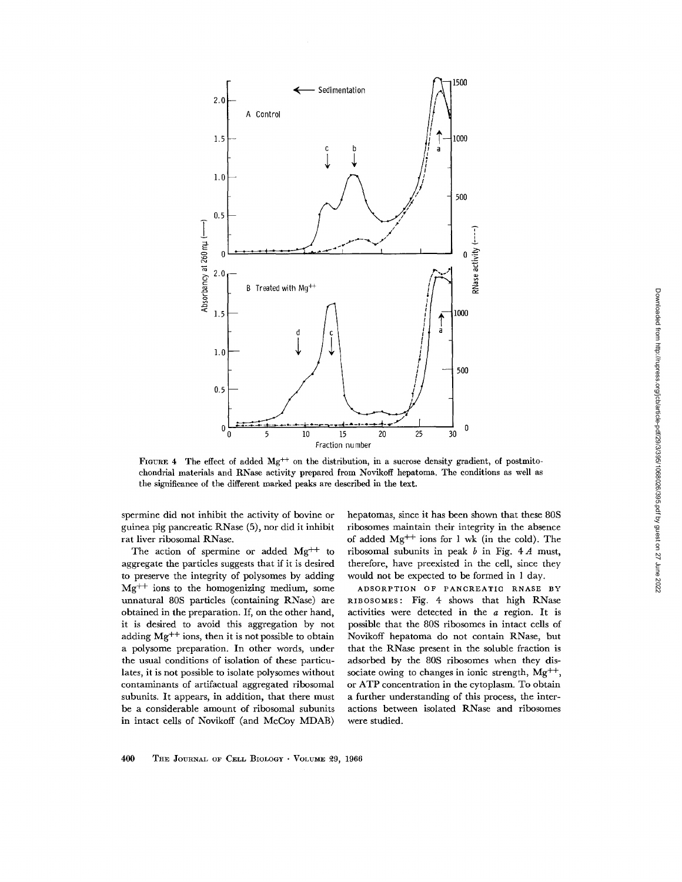

FIGURE 4 The effect of added  $Mg^{++}$  on the distribution, in a sucrose density gradient, of postmitochondrial materials and RNase activity prepared from Novikoff hepatoma. The conditions as well as the significance of the different marked peaks are described in the text.

spermine did not inhibit the activity of bovine or guinea pig pancreatic RNase (5), nor did it inhibit rat liver ribosomal RNase.

The action of spermine or added  $Mg^{++}$  to aggregate the particles suggests that if it is desired to preserve the integrity of polysomes by adding  $Mg^{++}$  ions to the homogenizing medium, some unnatural 80S particles (containing RNase) are obtained in the preparation. If, on the other hand, it is desired to avoid this aggregation by not adding Mg<sup>++</sup> ions, then it is not possible to obtain a polysome preparation. In other words, under the usual conditions of isolation of these particulates, it is not possible to isolate polysomes without contaminants of artifactual aggregated ribosomal subunits. It appears, in addition, that there must be a considerable amount of ribosomal subunits in intact cells of Novikoff (and McCoy MDAB)

hepatomas, since it has been shown that these 80S ribosomes maintain their integrity in the absence of added Mg<sup>++</sup> ions for 1 wk (in the cold). The ribosomal subunits in peak  $b$  in Fig. 4  $A$  must, therefore, have preexisted in the cell, since they would not be expected to be formed in 1 day.

ADSORPTION OF PANCREATIC RNASE BY RIBOSOMES: Fig. 4 shows that high RNase activities were detected in the a region. It is possible that the 80S ribosomes in intact cells of Novikoff hepatoma do not contain RNase, but that the RNase present in the soluble fraction is adsorbed by the 80S ribosomes when they dissociate owing to changes in ionic strength,  $Mg^{++}$ , or ATP concentration in the cytoplasm. To obtain a further understanding of this process, the interactions between isolated RNase and ribosomes were studied.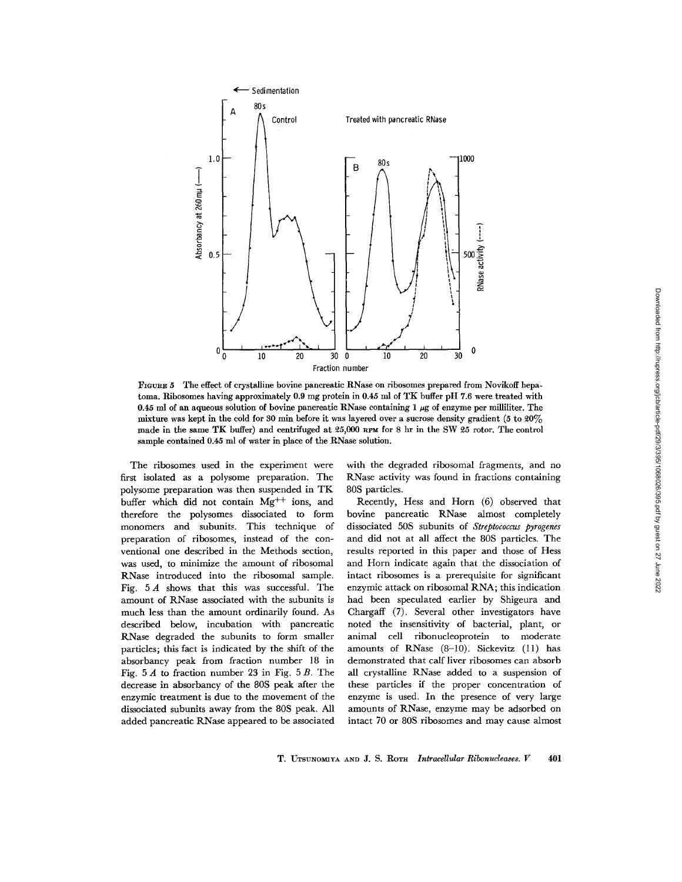

FIGURE 5 The effect of crystalline bovine pancreatic RNase on ribosomes prepared from Novikoff hepatoma. Ribosomes having approximately 0.9 mg protein in 0.45 ml of TK buffer pH 7.6 were treated with 0.45 ml of an aqueous solution of bovine pancreatic RNase containing  $1 \mu$ g of enzyme per milliliter. The mixture was kept in the cold for 30 min before it was layered over a sucrose density gradient (5 to  $20\%$ ) made in the same TK buffer) and centrifuged at  $25,000$  RPM for 8 hr in the SW 25 rotor. The control sample contained 0.45 ml of water in place of the RNase solution.

The ribosomes used in the experiment were first isolated as a polysome preparation. The polysome preparation was then suspended in TK buffer which did not contain  $Mg^{++}$  ions, and therefore the polysomes dissociated to form monomers and subunits. This technique of preparation of ribosomes, instead of the conventional one described in the Methods section, was used, to minimize the amount of ribosomal RNase introduced into the ribosomal sample. Fig.  $5A$  shows that this was successful. The amount of RNase associated with the subunits is much less than the amount ordinarily found. As described below, incubation with pancreatic RNase degraded the subunits to form smaller particles; this fact is indicated by the shift of the absorbancy peak from fraction number 18 in Fig.  $5 \text{ A}$  to fraction number 23 in Fig.  $5 \text{ B}$ . The decrease in absorbancy of the 80S peak after the enzymic treatment is due to the movement of the dissociated subunits away from the 80S peak. All added pancreatic RNase appeared to be associated

with the degraded ribosomal fragments, and no RNase activity was found in fractions containing 80S particles.

Recently, Hess and Horn (6) observed that bovine pancreatic RNase almost completely dissociated 50S subunits of *Streptococcus pyrogenes*  and did not at all affect the 80S particles. The results reported in this paper and those of Hess and Horn indicate again that the dissociation of intact ribosomes is a prerequisite for significant enzymic attack on ribosomal RNA; this indication had been speculated earlier by Shigeura and Chargaff (7). Several other investigators have noted the insensitivity of bacterial, plant, or animal cell ribonucleoprotein to moderate amounts of RNase  $(8-10)$ . Siekevitz  $(11)$  has demonstrated that calf liver ribosomes can absorb all crystalline RNase added to a suspension of these particles if the proper concentration of enzyme is used. In the presence of very large amounts of RNase, enzyme may be adsorbed on intact 70 or 80S ribosomes and may cause almost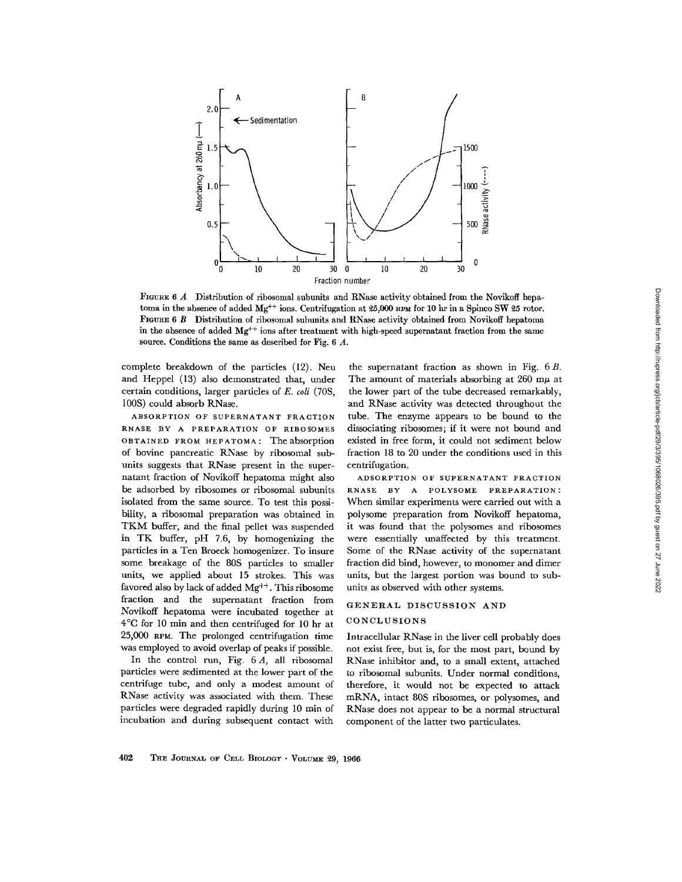

FIGURE 6 A Distribution of ribosomal subunits and RNase activity obtained from the Novikoff hepatoma in the absence of added  $Mg^{++}$  ions. Centrifugation at  $25,000$  RPM for 10 hr in a Spinco SW  $25$  rotor. FIouRE 6 B Distribution of ribosomal subunits and RNase activity obtained from Novikoff hepatoma in the absence of added  $Mg^{++}$  ions after treatment with high-speed supernatant fraction from the same source. Conditions the same as described for Fig. 6 A.

complete breakdown of the particles (12). Neu and Heppel (13) also demonstrated that, under certain conditions, larger particles of *E. coli* (70S, 100S) could absorb RNase.

ABSORPTION OF SUPERNATANT FRACTION RNASE BY A PREPARATION OF RIBOSOMES OBTAINED FROM HEPATOMA: The absorption of bovine pancreatic RNase by ribosomal subunits suggests that RNase present in the supernatant fraction of Novikoff hepatoma might also be adsorbed by ribosomes or ribosomal subunits isolated from the same source. To test this possibility, a ribosomal preparation was obtained in TKM buffer, and the final pellet was suspended in TK buffer, pH 7.6, by homogenizing the particles in a Ten Broeck homogenizer. To insure some breakage of the 80S particles to smaller units, we applied about 15 strokes. This was favored also by lack of added  $Mg^{++}$ . This ribosome fraction and the supernatant fraction from Novikoff hepatoma were incubated together at  $4^{\circ}$ C for 10 min and then centrifuged for 10 hr at 25,000 RPM. The prolonged centrifugation time was employed to avoid overlap of peaks if possible.

In the control run, Fig. 6A, all ribosomal particles were sedimented at the lower part of the centrifuge tube, and only a modest amount of RNase activity was associated with them. These particles were degraded rapidly during 10 min of incubation and during subsequent contact with

the supernatant fraction as shown in Fig. 6 B. The amount of materials absorbing at 260 m $\mu$  at the lower part of the tube decreased remarkably, and RNase activity was detected throughout the tube. The enzyme appears to be bound to the dissociating ribosomes; if it were not bound and existed in free form, it could not sediment below fraction 18 to 20 under the conditions used in this centrifugation.

ADSORPTION OF SUPERNATANT FRACTION RNASE BY A POLYSOME PREPARATION : When similar experiments were carried out with a polysome preparation from Novikoff hepatoma, it was found that the polysomes and ribosomes were essentially unaffected by this treatment. Some of the RNase activity of the supernatant fraction did bind, however, to monomer and dimer units, but the largest portion was bound to subunits as observed with other systems.

### GENERAL DISCUSSION AND

### CONCLUSIONS

Intraccllular RNase in the liver cell probably does not exist free, but is, for the most part, bound by RNase inhibitor and, to a small extent, attachcd to ribosomal subunits. Under normal conditions, therefore, it would not bc expected to attack mRNA, intact 80S ribosomes, or polysomes, and RNase does not appear to bc a normal structural component of the latter two particulates.